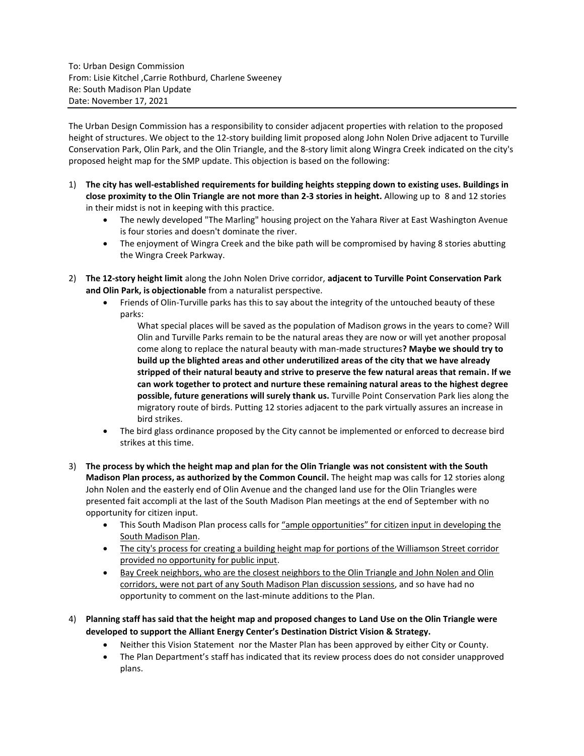The Urban Design Commission has a responsibility to consider adjacent properties with relation to the proposed height of structures. We object to the 12-story building limit proposed along John Nolen Drive adjacent to Turville Conservation Park, Olin Park, and the Olin Triangle, and the 8-story limit along Wingra Creek indicated on the city's proposed height map for the SMP update. This objection is based on the following:

- 1) **The city has well-established requirements for building heights stepping down to existing uses. Buildings in close proximity to the Olin Triangle are not more than 2-3 stories in height.** Allowing up to 8 and 12 stories in their midst is not in keeping with this practice.
	- The newly developed "The Marling" housing project on the Yahara River at East Washington Avenue is four stories and doesn't dominate the river.
	- The enjoyment of Wingra Creek and the bike path will be compromised by having 8 stories abutting the Wingra Creek Parkway.
- 2) **The 12-story height limit** along the John Nolen Drive corridor, **adjacent to Turville Point Conservation Park and Olin Park, is objectionable** from a naturalist perspective.
	- Friends of Olin-Turville parks has this to say about the integrity of the untouched beauty of these parks:

What special places will be saved as the population of Madison grows in the years to come? Will Olin and Turville Parks remain to be the natural areas they are now or will yet another proposal come along to replace the natural beauty with man-made structures**? Maybe we should try to build up the blighted areas and other underutilized areas of the city that we have already stripped of their natural beauty and strive to preserve the few natural areas that remain. If we can work together to protect and nurture these remaining natural areas to the highest degree possible, future generations will surely thank us.** Turville Point Conservation Park lies along the migratory route of birds. Putting 12 stories adjacent to the park virtually assures an increase in bird strikes.

- The bird glass ordinance proposed by the City cannot be implemented or enforced to decrease bird strikes at this time.
- 3) **The process by which the height map and plan for the Olin Triangle was not consistent with the South Madison Plan process, as authorized by the Common Council.** The height map was calls for 12 stories along John Nolen and the easterly end of Olin Avenue and the changed land use for the Olin Triangles were presented fait accompli at the last of the South Madison Plan meetings at the end of September with no opportunity for citizen input.
	- This South Madison Plan process calls for "ample opportunities" for citizen input in developing the South Madison Plan.
	- The city's process for creating a building height map for portions of the Williamson Street corridor provided no opportunity for public input.
	- Bay Creek neighbors, who are the closest neighbors to the Olin Triangle and John Nolen and Olin corridors, were not part of any South Madison Plan discussion sessions, and so have had no opportunity to comment on the last-minute additions to the Plan.
- 4) **Planning staff has said that the height map and proposed changes to Land Use on the Olin Triangle were developed to support the Alliant Energy Center's Destination District Vision & Strategy.**
	- Neither this Vision Statement nor the Master Plan has been approved by either City or County.
	- The Plan Department's staff has indicated that its review process does do not consider unapproved plans.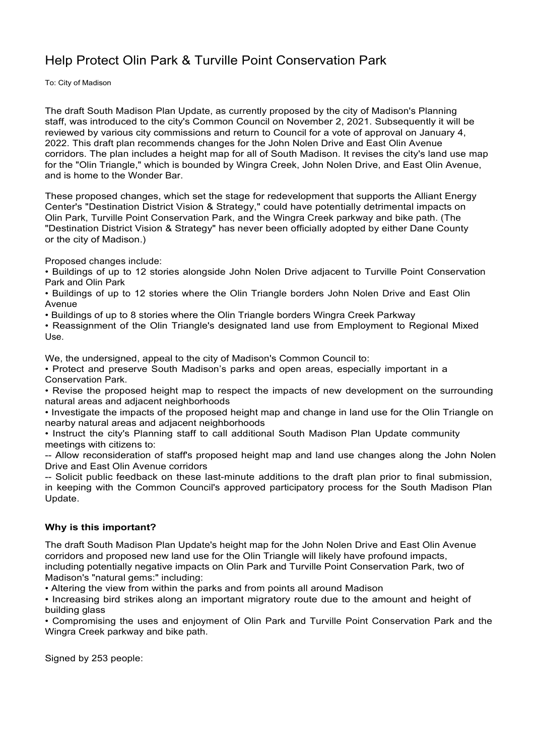## Help Protect Olin Park & Turville Point Conservation Park

To: City of Madison

The draft South Madison Plan Update, as currently proposed by the city of Madison's Planning staff, was introduced to the city's Common Council on November 2, 2021. Subsequently it will be reviewed by various city commissions and return to Council for a vote of approval on January 4, 2022. This draft plan recommends changes for the John Nolen Drive and East Olin Avenue corridors. The plan includes a height map for all of South Madison. It revises the city's land use map for the "Olin Triangle," which is bounded by Wingra Creek, John Nolen Drive, and East Olin Avenue, and is home to the Wonder Bar.

These proposed changes, which set the stage for redevelopment that supports the Alliant Energy Center's "Destination District Vision & Strategy," could have potentially detrimental impacts on Olin Park, Turville Point Conservation Park, and the Wingra Creek parkway and bike path. (The "Destination District Vision & Strategy" has never been officially adopted by either Dane County or the city of Madison.)

Proposed changes include:

• Buildings of up to 12 stories alongside John Nolen Drive adjacent to Turville Point Conservation Park and Olin Park

• Buildings of up to 12 stories where the Olin Triangle borders John Nolen Drive and East Olin Avenue

• Buildings of up to 8 stories where the Olin Triangle borders Wingra Creek Parkway

• Reassignment of the Olin Triangle's designated land use from Employment to Regional Mixed Use.

We, the undersigned, appeal to the city of Madison's Common Council to:

• Protect and preserve South Madison's parks and open areas, especially important in a Conservation Park.

• Revise the proposed height map to respect the impacts of new development on the surrounding natural areas and adjacent neighborhoods

• Investigate the impacts of the proposed height map and change in land use for the Olin Triangle on nearby natural areas and adjacent neighborhoods

• Instruct the city's Planning staff to call additional South Madison Plan Update community meetings with citizens to:

-- Allow reconsideration of staff's proposed height map and land use changes along the John Nolen Drive and East Olin Avenue corridors

-- Solicit public feedback on these last-minute additions to the draft plan prior to final submission, in keeping with the Common Council's approved participatory process for the South Madison Plan Update.

## **Why is this important?**

The draft South Madison Plan Update's height map for the John Nolen Drive and East Olin Avenue corridors and proposed new land use for the Olin Triangle will likely have profound impacts, including potentially negative impacts on Olin Park and Turville Point Conservation Park, two of Madison's "natural gems:" including:

• Altering the view from within the parks and from points all around Madison

• Increasing bird strikes along an important migratory route due to the amount and height of building glass

• Compromising the uses and enjoyment of Olin Park and Turville Point Conservation Park and the Wingra Creek parkway and bike path.

Signed by 253 people: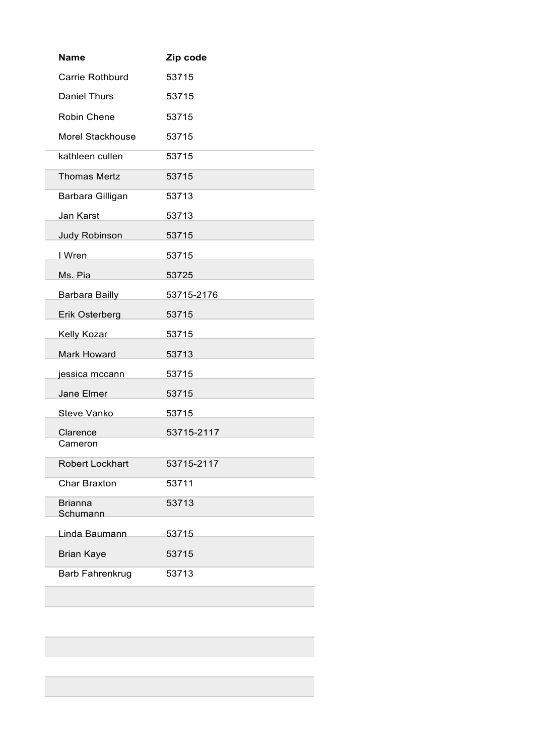| <b>Name</b>                | Zip code   |
|----------------------------|------------|
| Carrie Rothburd            | 53715      |
| <b>Daniel Thurs</b>        | 53715      |
| Robin Chene                | 53715      |
| Morel Stackhouse           | 53715      |
| kathleen cullen            | 53715      |
| <b>Thomas Mertz</b>        | 53715      |
| Barbara Gilligan           | 53713      |
| <b>Jan Karst</b>           | 53713      |
| <b>Judy Robinson</b>       | 53715      |
| I Wren                     | 53715      |
| Ms. Pia                    | 53725      |
| <b>Barbara Bailly</b>      | 53715-2176 |
| Erik Osterberg             | 53715      |
| Kelly Kozar                | 53715      |
| <b>Mark Howard</b>         | 53713      |
| jessica mccann             | 53715      |
| Jane Elmer                 | 53715      |
| Steve Vanko                | 53715      |
| Clarence                   | 53715-2117 |
| Cameron                    |            |
| <b>Robert Lockhart</b>     | 53715-2117 |
| <b>Char Braxton</b>        | 53711      |
| <b>Brianna</b><br>Schumann | 53713      |
| Linda Baumann              | 53715      |
| <b>Brian Kaye</b>          | 53715      |
| <b>Barb Fahrenkrug</b>     | 53713      |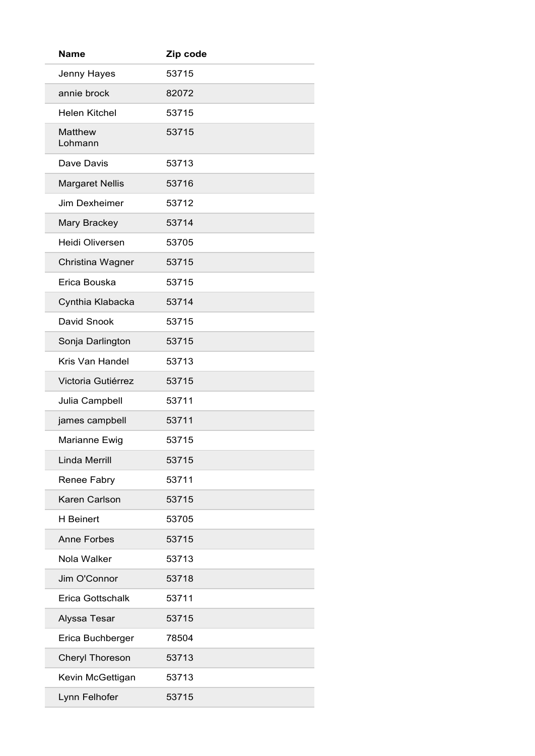| <b>Name</b>               | Zip code |
|---------------------------|----------|
| Jenny Hayes               | 53715    |
| annie brock               | 82072    |
| <b>Helen Kitchel</b>      | 53715    |
| <b>Matthew</b><br>Lohmann | 53715    |
| Dave Davis                | 53713    |
| <b>Margaret Nellis</b>    | 53716    |
| Jim Dexheimer             | 53712    |
| Mary Brackey              | 53714    |
| Heidi Oliversen           | 53705    |
| Christina Wagner          | 53715    |
| Erica Bouska              | 53715    |
| Cynthia Klabacka          | 53714    |
| David Snook               | 53715    |
| Sonja Darlington          | 53715    |
| Kris Van Handel           | 53713    |
| Victoria Gutiérrez        | 53715    |
| Julia Campbell            | 53711    |
| james campbell            | 53711    |
| Marianne Ewig             | 53715    |
| <b>Linda Merrill</b>      | 53715    |
| Renee Fabry               | 53711    |
| Karen Carlson             | 53715    |
| <b>H</b> Beinert          | 53705    |
| <b>Anne Forbes</b>        | 53715    |
| Nola Walker               | 53713    |
| Jim O'Connor              | 53718    |
| <b>Erica Gottschalk</b>   | 53711    |
| Alyssa Tesar              | 53715    |
| Erica Buchberger          | 78504    |
| Cheryl Thoreson           | 53713    |
| Kevin McGettigan          | 53713    |
| Lynn Felhofer             | 53715    |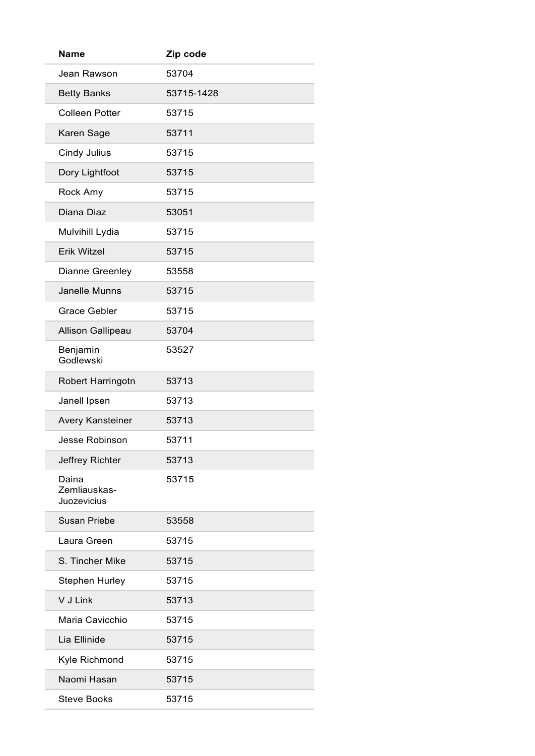| <b>Name</b>                          | Zip code   |
|--------------------------------------|------------|
| Jean Rawson                          | 53704      |
| <b>Betty Banks</b>                   | 53715-1428 |
| <b>Colleen Potter</b>                | 53715      |
| Karen Sage                           | 53711      |
| Cindy Julius                         | 53715      |
| Dory Lightfoot                       | 53715      |
| Rock Amy                             | 53715      |
| Diana Diaz                           | 53051      |
| Mulvihill Lydia                      | 53715      |
| <b>Erik Witzel</b>                   | 53715      |
| <b>Dianne Greenley</b>               | 53558      |
| Janelle Munns                        | 53715      |
| <b>Grace Gebler</b>                  | 53715      |
| <b>Allison Gallipeau</b>             | 53704      |
| Benjamin<br>Godlewski                | 53527      |
| Robert Harringotn                    | 53713      |
| Janell Ipsen                         | 53713      |
| <b>Avery Kansteiner</b>              | 53713      |
| Jesse Robinson                       | 53711      |
| Jeffrey Richter                      | 53713      |
| Daina<br>Zemliauskas-<br>Juozevicius | 53715      |
| <b>Susan Priebe</b>                  | 53558      |
| Laura Green                          | 53715      |
| S. Tincher Mike                      | 53715      |
| <b>Stephen Hurley</b>                | 53715      |
| V J Link                             | 53713      |
| Maria Cavicchio                      | 53715      |
| Lia Ellinide                         | 53715      |
| Kyle Richmond                        | 53715      |
| Naomi Hasan                          | 53715      |
| <b>Steve Books</b>                   | 53715      |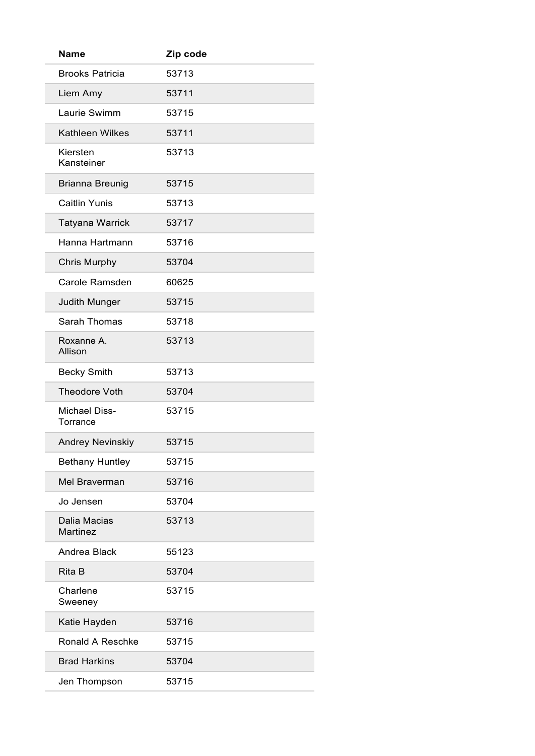| Name                             | Zip code |
|----------------------------------|----------|
| <b>Brooks Patricia</b>           | 53713    |
| Liem Amy                         | 53711    |
| Laurie Swimm                     | 53715    |
| <b>Kathleen Wilkes</b>           | 53711    |
| Kiersten<br>Kansteiner           | 53713    |
| <b>Brianna Breunig</b>           | 53715    |
| <b>Caitlin Yunis</b>             | 53713    |
| <b>Tatyana Warrick</b>           | 53717    |
| Hanna Hartmann                   | 53716    |
| <b>Chris Murphy</b>              | 53704    |
| Carole Ramsden                   | 60625    |
| <b>Judith Munger</b>             | 53715    |
| <b>Sarah Thomas</b>              | 53718    |
| Roxanne A.<br>Allison            | 53713    |
| <b>Becky Smith</b>               | 53713    |
| <b>Theodore Voth</b>             | 53704    |
| <b>Michael Diss-</b><br>Torrance | 53715    |
| <b>Andrey Nevinskiy</b>          | 53715    |
| <b>Bethany Huntley</b>           | 53715    |
| <b>Mel Braverman</b>             | 53716    |
| Jo Jensen                        | 53704    |
| Dalia Macias<br>Martinez         | 53713    |
| Andrea Black                     | 55123    |
| Rita B                           | 53704    |
| Charlene<br>Sweeney              | 53715    |
| Katie Hayden                     | 53716    |
| <b>Ronald A Reschke</b>          | 53715    |
| <b>Brad Harkins</b>              | 53704    |
| Jen Thompson                     | 53715    |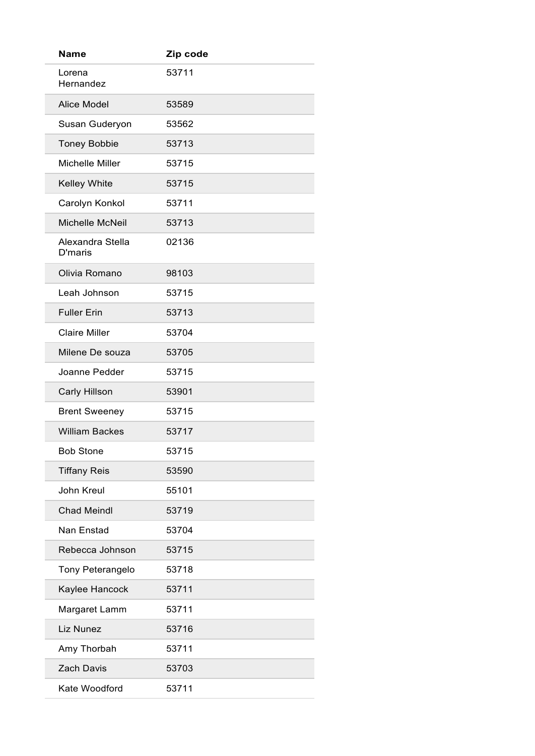| <b>Name</b>                 | Zip code |
|-----------------------------|----------|
| Lorena<br>Hernandez         | 53711    |
| <b>Alice Model</b>          | 53589    |
| Susan Guderyon              | 53562    |
| <b>Toney Bobbie</b>         | 53713    |
| Michelle Miller             | 53715    |
| <b>Kelley White</b>         | 53715    |
| Carolyn Konkol              | 53711    |
| Michelle McNeil             | 53713    |
| Alexandra Stella<br>D'maris | 02136    |
| Olivia Romano               | 98103    |
| Leah Johnson                | 53715    |
| <b>Fuller Erin</b>          | 53713    |
| <b>Claire Miller</b>        | 53704    |
| Milene De souza             | 53705    |
| Joanne Pedder               | 53715    |
| <b>Carly Hillson</b>        | 53901    |
| <b>Brent Sweeney</b>        | 53715    |
| <b>William Backes</b>       | 53717    |
| <b>Bob Stone</b>            | 53715    |
| <b>Tiffany Reis</b>         | 53590    |
| John Kreul                  | 55101    |
| <b>Chad Meindl</b>          | 53719    |
| Nan Enstad                  | 53704    |
| Rebecca Johnson             | 53715    |
| Tony Peterangelo            | 53718    |
| Kaylee Hancock              | 53711    |
| Margaret Lamm               | 53711    |
| Liz Nunez                   | 53716    |
| Amy Thorbah                 | 53711    |
| <b>Zach Davis</b>           | 53703    |
| Kate Woodford               | 53711    |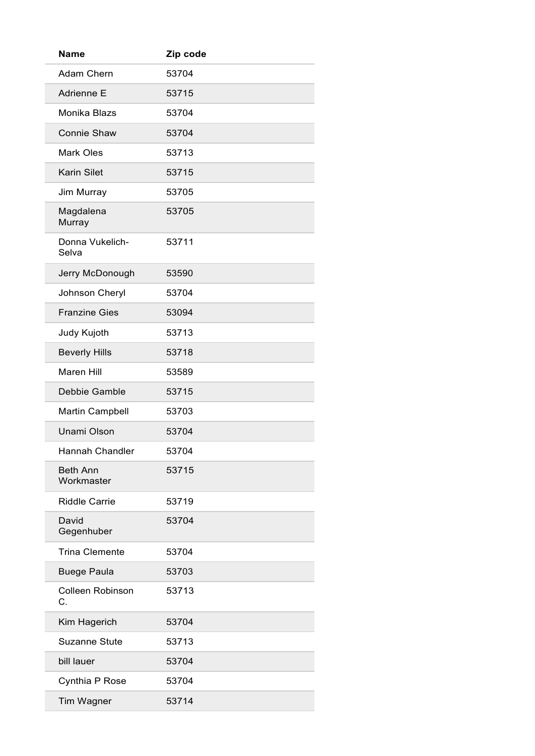| <b>Name</b>                   | Zip code |
|-------------------------------|----------|
| <b>Adam Chern</b>             | 53704    |
| Adrienne E                    | 53715    |
| Monika Blazs                  | 53704    |
| <b>Connie Shaw</b>            | 53704    |
| <b>Mark Oles</b>              | 53713    |
| <b>Karin Silet</b>            | 53715    |
| Jim Murray                    | 53705    |
| Magdalena<br>Murray           | 53705    |
| Donna Vukelich-<br>Selva      | 53711    |
| Jerry McDonough               | 53590    |
| Johnson Cheryl                | 53704    |
| <b>Franzine Gies</b>          | 53094    |
| Judy Kujoth                   | 53713    |
| <b>Beverly Hills</b>          | 53718    |
| Maren Hill                    | 53589    |
| Debbie Gamble                 | 53715    |
| <b>Martin Campbell</b>        | 53703    |
| Unami Olson                   | 53704    |
| <b>Hannah Chandler</b>        | 53704    |
| <b>Beth Ann</b><br>Workmaster | 53715    |
| <b>Riddle Carrie</b>          | 53719    |
| David<br>Gegenhuber           | 53704    |
| <b>Trina Clemente</b>         | 53704    |
| <b>Buege Paula</b>            | 53703    |
| <b>Colleen Robinson</b><br>C. | 53713    |
| Kim Hagerich                  | 53704    |
| <b>Suzanne Stute</b>          | 53713    |
| bill lauer                    | 53704    |
| Cynthia P Rose                | 53704    |
| Tim Wagner                    | 53714    |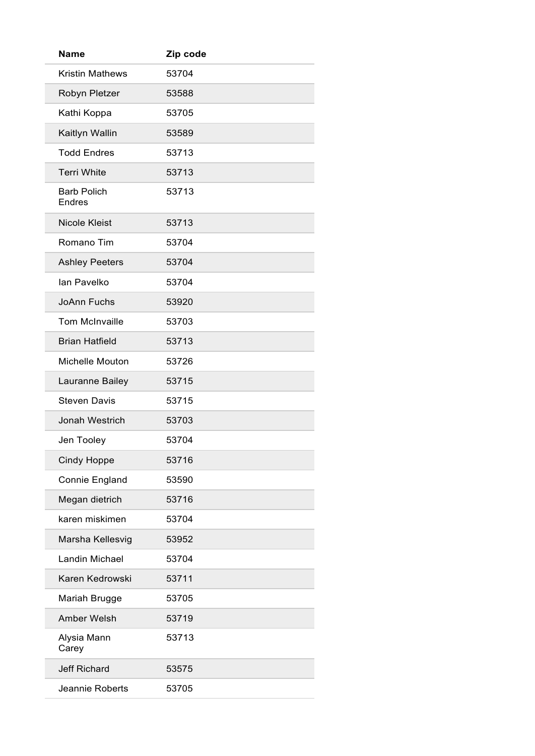| <b>Name</b>                  | Zip code |
|------------------------------|----------|
| <b>Kristin Mathews</b>       | 53704    |
| Robyn Pletzer                | 53588    |
| Kathi Koppa                  | 53705    |
| Kaitlyn Wallin               | 53589    |
| <b>Todd Endres</b>           | 53713    |
| <b>Terri White</b>           | 53713    |
| <b>Barb Polich</b><br>Endres | 53713    |
| <b>Nicole Kleist</b>         | 53713    |
| Romano Tim                   | 53704    |
| <b>Ashley Peeters</b>        | 53704    |
| lan Pavelko                  | 53704    |
| <b>JoAnn Fuchs</b>           | 53920    |
| <b>Tom McInvaille</b>        | 53703    |
| <b>Brian Hatfield</b>        | 53713    |
| <b>Michelle Mouton</b>       | 53726    |
| Lauranne Bailey              | 53715    |
| <b>Steven Davis</b>          | 53715    |
| Jonah Westrich               | 53703    |
| Jen Tooley                   | 53704    |
| <b>Cindy Hoppe</b>           | 53716    |
| Connie England               | 53590    |
| Megan dietrich               | 53716    |
| karen miskimen               | 53704    |
| Marsha Kellesvig             | 53952    |
| <b>Landin Michael</b>        | 53704    |
| Karen Kedrowski              | 53711    |
| Mariah Brugge                | 53705    |
| Amber Welsh                  | 53719    |
| Alysia Mann<br>Carey         | 53713    |
| <b>Jeff Richard</b>          | 53575    |
| Jeannie Roberts              | 53705    |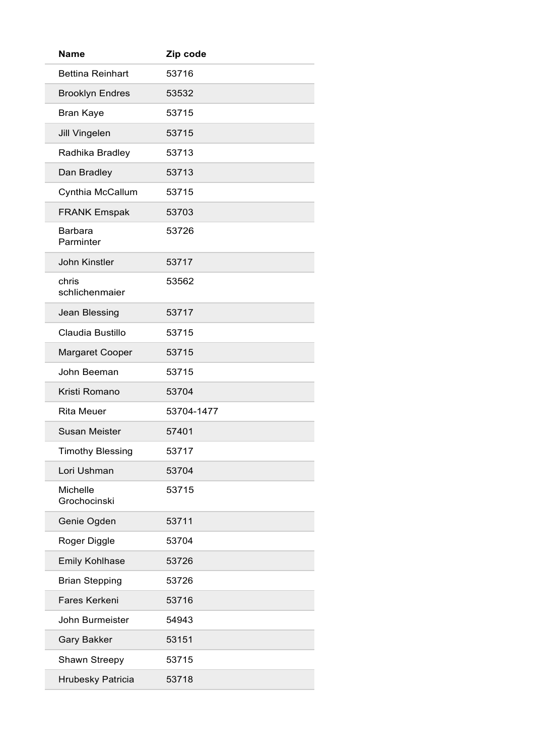| <b>Name</b>                     | Zip code   |
|---------------------------------|------------|
| <b>Bettina Reinhart</b>         | 53716      |
| <b>Brooklyn Endres</b>          | 53532      |
| <b>Bran Kaye</b>                | 53715      |
| <b>Jill Vingelen</b>            | 53715      |
| Radhika Bradley                 | 53713      |
| Dan Bradley                     | 53713      |
| Cynthia McCallum                | 53715      |
| <b>FRANK Emspak</b>             | 53703      |
| Barbara<br>Parminter            | 53726      |
| <b>John Kinstler</b>            | 53717      |
| chris<br>schlichenmaier         | 53562      |
| <b>Jean Blessing</b>            | 53717      |
| Claudia Bustillo                | 53715      |
| <b>Margaret Cooper</b>          | 53715      |
| John Beeman                     | 53715      |
| Kristi Romano                   | 53704      |
| <b>Rita Meuer</b>               | 53704-1477 |
| <b>Susan Meister</b>            | 57401      |
| <b>Timothy Blessing</b>         | 53717      |
| Lori Ushman                     | 53704      |
| <b>Michelle</b><br>Grochocinski | 53715      |
| Genie Ogden                     | 53711      |
| Roger Diggle                    | 53704      |
| <b>Emily Kohlhase</b>           | 53726      |
| <b>Brian Stepping</b>           | 53726      |
| Fares Kerkeni                   | 53716      |
| John Burmeister                 | 54943      |
| <b>Gary Bakker</b>              | 53151      |
| Shawn Streepy                   | 53715      |
| Hrubesky Patricia               | 53718      |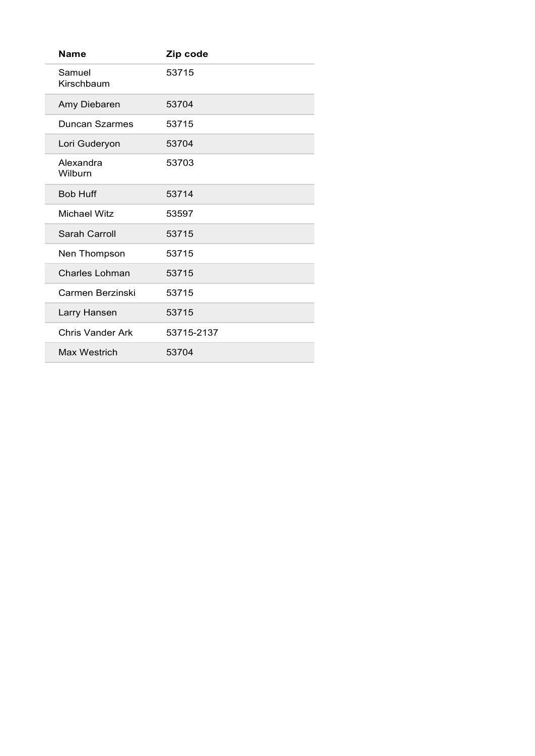| <b>Name</b>          | Zip code   |
|----------------------|------------|
| Samuel<br>Kirschbaum | 53715      |
| Amy Diebaren         | 53704      |
| Duncan Szarmes       | 53715      |
| Lori Guderyon        | 53704      |
| Alexandra<br>Wilburn | 53703      |
| <b>Bob Huff</b>      | 53714      |
| <b>Michael Witz</b>  | 53597      |
| Sarah Carroll        | 53715      |
| Nen Thompson         | 53715      |
| Charles Lohman       | 53715      |
| Carmen Berzinski     | 53715      |
| Larry Hansen         | 53715      |
| Chris Vander Ark     | 53715-2137 |
| Max Westrich         | 53704      |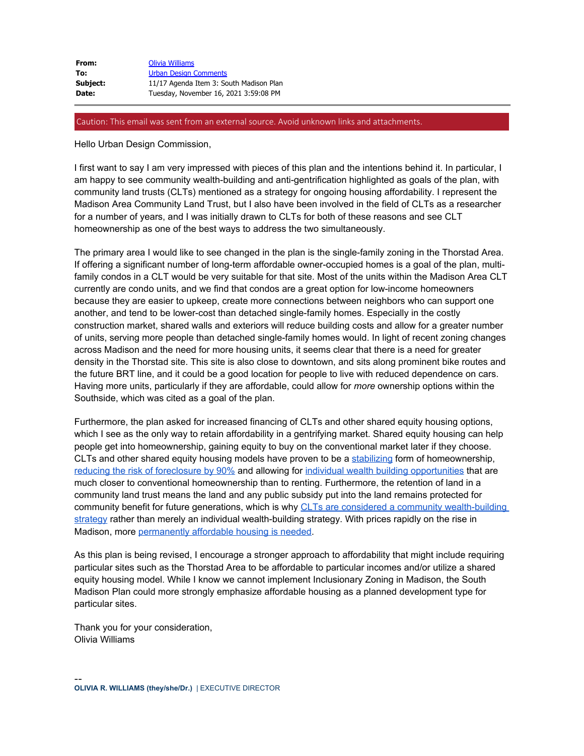| From:    | Olivia Williams                         |
|----------|-----------------------------------------|
| To:      | <b>Urban Design Comments</b>            |
| Subject: | 11/17 Agenda Item 3: South Madison Plan |
| Date:    | Tuesday, November 16, 2021 3:59:08 PM   |

## Caution: This email was sent from an external source. Avoid unknown links and attachments.

Hello Urban Design Commission,

I first want to say I am very impressed with pieces of this plan and the intentions behind it. In particular, I am happy to see community wealth-building and anti-gentrification highlighted as goals of the plan, with community land trusts (CLTs) mentioned as a strategy for ongoing housing affordability. I represent the Madison Area Community Land Trust, but I also have been involved in the field of CLTs as a researcher for a number of years, and I was initially drawn to CLTs for both of these reasons and see CLT homeownership as one of the best ways to address the two simultaneously.

The primary area I would like to see changed in the plan is the single-family zoning in the Thorstad Area. If offering a significant number of long-term affordable owner-occupied homes is a goal of the plan, multifamily condos in a CLT would be very suitable for that site. Most of the units within the Madison Area CLT currently are condo units, and we find that condos are a great option for low-income homeowners because they are easier to upkeep, create more connections between neighbors who can support one another, and tend to be lower-cost than detached single-family homes. Especially in the costly construction market, shared walls and exteriors will reduce building costs and allow for a greater number of units, serving more people than detached single-family homes would. In light of recent zoning changes across Madison and the need for more housing units, it seems clear that there is a need for greater density in the Thorstad site. This site is also close to downtown, and sits along prominent bike routes and the future BRT line, and it could be a good location for people to live with reduced dependence on cars. Having more units, particularly if they are affordable, could allow for *more* ownership options within the Southside, which was cited as a goal of the plan.

Furthermore, the plan asked for increased financing of CLTs and other shared equity housing options, which I see as the only way to retain affordability in a gentrifying market. Shared equity housing can help people get into homeownership, gaining equity to buy on the conventional market later if they choose. CLTs and other shared equity housing models have proven to be a [stabilizing](https://urldefense.proofpoint.com/v2/url?u=https-3A__www.lincolninst.edu_publications_working-2Dpapers_tracking-2Dgrowth-2Devaluating-2Dperformance-2Dshared-2Dequity-2Dhomeownership&d=DwMFaQ&c=byefhD2ZumMFFQYPZBagUCDuBiM9Q9twmxaBM0hCgII&r=0UzTu72xaK1sH8uO_Wzf9isRQEkautbtLNh5K_rF2p6Di4emueOMbNmZApNNZuH9&m=mat3q1VApE9PUQpbDHd_A7XW-3zZRYBJmFt0C1ahX6E&s=M7R3Yj1pS3BX1qhyKZ0NC0lucDrx0ez-D01Wkqb9JaE&e=) form of homeownership, [reducing the risk of foreclosure by 90%](https://urldefense.proofpoint.com/v2/url?u=https-3A__www.lincolninst.edu_publications_working-2Dpapers_outperforming-2Dmarket&d=DwMFaQ&c=byefhD2ZumMFFQYPZBagUCDuBiM9Q9twmxaBM0hCgII&r=0UzTu72xaK1sH8uO_Wzf9isRQEkautbtLNh5K_rF2p6Di4emueOMbNmZApNNZuH9&m=mat3q1VApE9PUQpbDHd_A7XW-3zZRYBJmFt0C1ahX6E&s=_E4MkfhccMp_5FMylAC455_xIjOVkl9o7k9ykX9Y90Q&e=) and allowing for [individual wealth building opportunities](https://urldefense.proofpoint.com/v2/url?u=https-3A__www.tandfonline.com_doi_abs_10.1080_10511482.2021.1949372-3FjournalCode-3Drhpd20&d=DwMFaQ&c=byefhD2ZumMFFQYPZBagUCDuBiM9Q9twmxaBM0hCgII&r=0UzTu72xaK1sH8uO_Wzf9isRQEkautbtLNh5K_rF2p6Di4emueOMbNmZApNNZuH9&m=mat3q1VApE9PUQpbDHd_A7XW-3zZRYBJmFt0C1ahX6E&s=hju0PMJ7btK5sy_Uu2kwLc58z04JSFRh2R_JvS_aluc&e=) that are much closer to conventional homeownership than to renting. Furthermore, the retention of land in a community land trust means the land and any public subsidy put into the land remains protected for community benefit for future generations, which is why [CLTs are considered a community wealth-building](https://urldefense.proofpoint.com/v2/url?u=https-3A__community-2Dwealth.org_strategies_panel_clts_index.html&d=DwMFaQ&c=byefhD2ZumMFFQYPZBagUCDuBiM9Q9twmxaBM0hCgII&r=0UzTu72xaK1sH8uO_Wzf9isRQEkautbtLNh5K_rF2p6Di4emueOMbNmZApNNZuH9&m=mat3q1VApE9PUQpbDHd_A7XW-3zZRYBJmFt0C1ahX6E&s=2Q-0KVA6mD_F3wUhGTBoBqZUwFVJZnSFrc-p_nKNLLc&e=) [strategy](https://urldefense.proofpoint.com/v2/url?u=https-3A__community-2Dwealth.org_strategies_panel_clts_index.html&d=DwMFaQ&c=byefhD2ZumMFFQYPZBagUCDuBiM9Q9twmxaBM0hCgII&r=0UzTu72xaK1sH8uO_Wzf9isRQEkautbtLNh5K_rF2p6Di4emueOMbNmZApNNZuH9&m=mat3q1VApE9PUQpbDHd_A7XW-3zZRYBJmFt0C1ahX6E&s=2Q-0KVA6mD_F3wUhGTBoBqZUwFVJZnSFrc-p_nKNLLc&e=) rather than merely an individual wealth-building strategy. With prices rapidly on the rise in Madison, more [permanently affordable housing is needed.](https://urldefense.proofpoint.com/v2/url?u=https-3A__www.tonemadison.com_articles_madison-2Dmust-2Dcommit-2Dto-2Dpermanently-2Daffordable-2Dhousing&d=DwMFaQ&c=byefhD2ZumMFFQYPZBagUCDuBiM9Q9twmxaBM0hCgII&r=0UzTu72xaK1sH8uO_Wzf9isRQEkautbtLNh5K_rF2p6Di4emueOMbNmZApNNZuH9&m=mat3q1VApE9PUQpbDHd_A7XW-3zZRYBJmFt0C1ahX6E&s=B_WLkrSsewy0vdDT6phfAO4NnRLLcnWZMPseCwAyVMk&e=)

As this plan is being revised, I encourage a stronger approach to affordability that might include requiring particular sites such as the Thorstad Area to be affordable to particular incomes and/or utilize a shared equity housing model. While I know we cannot implement Inclusionary Zoning in Madison, the South Madison Plan could more strongly emphasize affordable housing as a planned development type for particular sites.

Thank you for your consideration, Olivia Williams